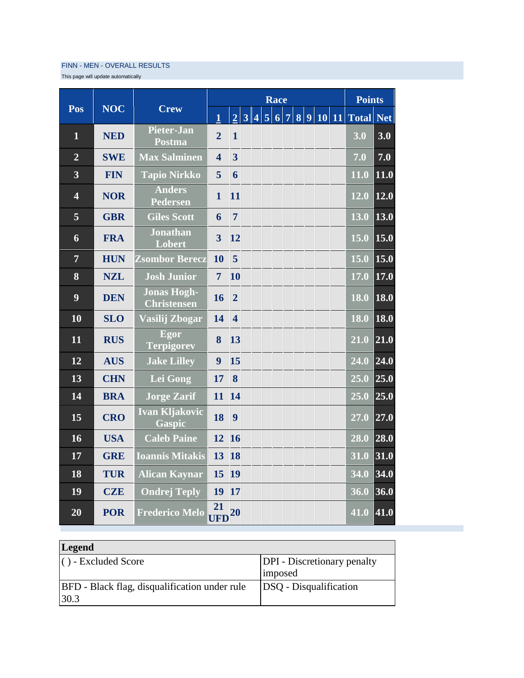## FINN - MEN - OVERALL RESULTS

This page will update automatically

|                         |            |                                          | Race                    |                         |                |                |                |                   |  |  |  |           | <b>Points</b> |                   |                   |
|-------------------------|------------|------------------------------------------|-------------------------|-------------------------|----------------|----------------|----------------|-------------------|--|--|--|-----------|---------------|-------------------|-------------------|
| Pos                     | <b>NOC</b> | <b>Crew</b>                              | $\mathbf{1}$            | $\overline{2}$          | 3 <sup>1</sup> | $\overline{4}$ | $\overline{5}$ | $\overline{6}$  7 |  |  |  | 8 9 10 11 |               | <b>Total</b>      | $\vert$ Net       |
| 1                       | <b>NED</b> | <b>Pieter-Jan</b><br>Postma              | $\overline{2}$          | $\mathbf{1}$            |                |                |                |                   |  |  |  |           |               | 3.0               | 3.0               |
| $\overline{2}$          | <b>SWE</b> | <b>Max Salminen</b>                      | $\overline{\mathbf{4}}$ | $\overline{3}$          |                |                |                |                   |  |  |  |           |               | 7.0               | 7.0               |
| 3                       | <b>FIN</b> | <b>Tapio Nirkko</b>                      | 5                       | 6                       |                |                |                |                   |  |  |  |           |               | 11.0              | 11.0              |
| $\overline{\mathbf{4}}$ | <b>NOR</b> | <b>Anders</b><br><b>Pedersen</b>         | $\mathbf{1}$            | 11                      |                |                |                |                   |  |  |  |           |               | 12.0              | 12.0              |
| 5                       | <b>GBR</b> | <b>Giles Scott</b>                       | 6                       | $\overline{7}$          |                |                |                |                   |  |  |  |           |               | 13.0              | 13.0              |
| 6                       | <b>FRA</b> | <b>Jonathan</b><br>Lobert                | $\overline{\mathbf{3}}$ | 12                      |                |                |                |                   |  |  |  |           |               | 15.0              | $\vert 15.0$      |
| $\overline{7}$          | <b>HUN</b> | <b>Zsombor Berecz</b>                    | 10                      | 5                       |                |                |                |                   |  |  |  |           |               | 15.0              | 15.0              |
| 8                       | <b>NZL</b> | <b>Josh Junior</b>                       | $\overline{7}$          | 10                      |                |                |                |                   |  |  |  |           |               | 17.0              | 17.0              |
| 9                       | <b>DEN</b> | <b>Jonas Hogh-</b><br><b>Christensen</b> | 16                      | $\overline{2}$          |                |                |                |                   |  |  |  |           |               | 18.0              | 18.0              |
| 10                      | <b>SLO</b> | Vasilij Zbogar                           | 14                      | $\overline{\mathbf{4}}$ |                |                |                |                   |  |  |  |           |               | 18.0              | 18.0              |
| 11                      | <b>RUS</b> | Egor<br><b>Terpigorev</b>                | 8                       | 13                      |                |                |                |                   |  |  |  |           |               | $\overline{21.0}$ | 21.0              |
| 12                      | <b>AUS</b> | <b>Jake Lilley</b>                       | 9                       | 15                      |                |                |                |                   |  |  |  |           |               | 24.0              | $\overline{24.0}$ |
| 13                      | <b>CHN</b> | Lei Gong                                 | 17                      | 8                       |                |                |                |                   |  |  |  |           |               | 25.0              | 25.0              |
| 14                      | <b>BRA</b> | <b>Jorge Zarif</b>                       | 11                      | 14                      |                |                |                |                   |  |  |  |           |               | 25.0              | 25.0              |
| 15                      | <b>CRO</b> | <b>Ivan Kljakovic</b><br><b>Gaspic</b>   | 18                      | 9                       |                |                |                |                   |  |  |  |           |               | 27.0              | 27.0              |
| 16                      | <b>USA</b> | <b>Caleb Paine</b>                       | 12                      | <b>16</b>               |                |                |                |                   |  |  |  |           |               | 28.0              | 28.0              |
| 17                      | <b>GRE</b> | <b>Ioannis Mitakis</b>                   | 13                      | <b>18</b>               |                |                |                |                   |  |  |  |           |               | 31.0              | 31.0              |
| 18                      | <b>TUR</b> | <b>Alican Kaynar</b>                     | 15                      | 19                      |                |                |                |                   |  |  |  |           |               | 34.0              | 34.0              |
| 19                      | <b>CZE</b> | <b>Ondrej Teply</b>                      | 19                      | 17                      |                |                |                |                   |  |  |  |           |               | 36.0              | 36.0              |
| 20                      | <b>POR</b> | <b>Frederico Melo</b>                    | 21<br><b>UFD</b>        | 20                      |                |                |                |                   |  |  |  |           |               | $\overline{41.0}$ | 41.0              |

| <b>Legend</b>                                                    |                                               |  |  |  |  |  |  |
|------------------------------------------------------------------|-----------------------------------------------|--|--|--|--|--|--|
| $\vert$ $\vert$ $\vert$ $\vert$ $\vert$ $\vert$ = Excluded Score | <b>DPI</b> - Discretionary penalty<br>imposed |  |  |  |  |  |  |
| <b>BFD</b> - Black flag, disqualification under rule<br>30.3     | <b>DSQ</b> - Disqualification                 |  |  |  |  |  |  |